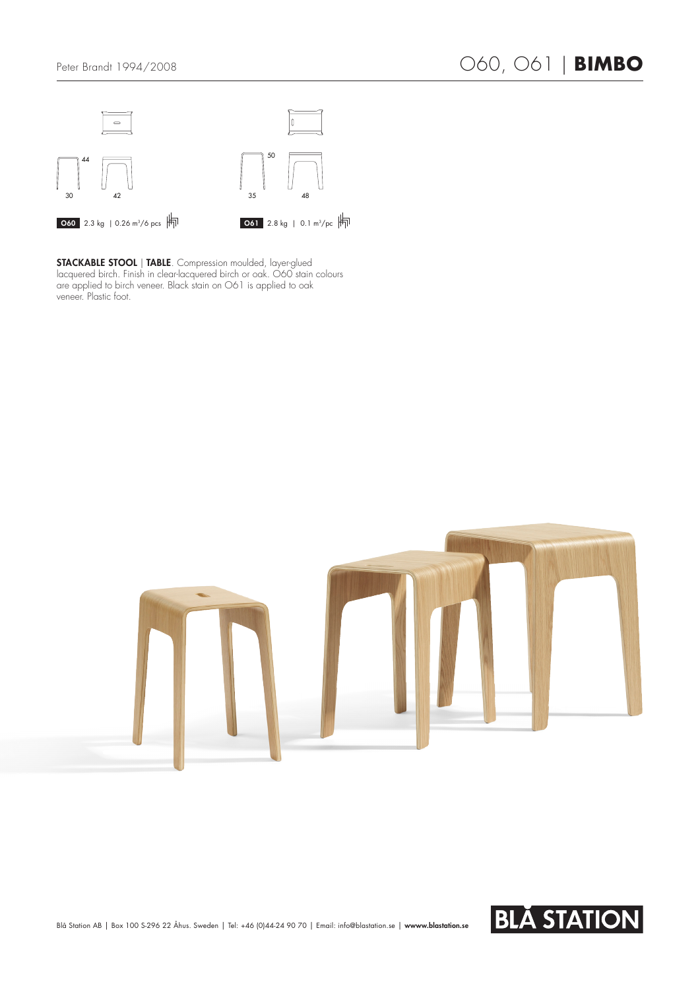

STACKABLE STOOL | TABLE. Compression moulded, layer-glued lacquered birch. Finish in clear-lacquered birch or oak. O60 stain colours are applied to birch veneer. Black stain on O61 is applied to oak veneer. Plastic foot.



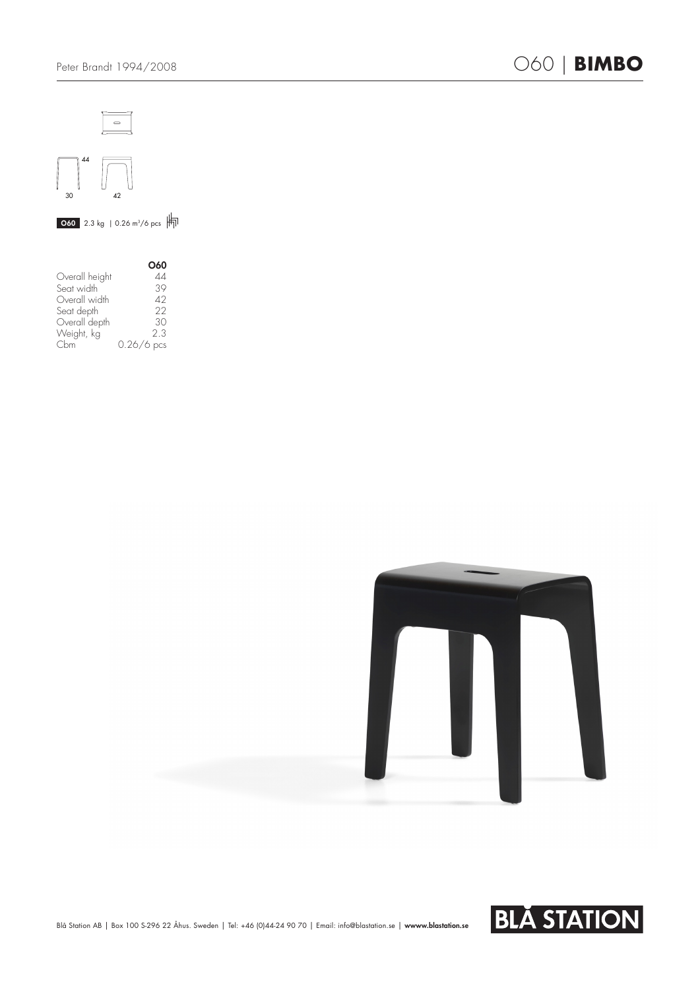



 $\overline{060}$  2.3 kg | 0.26 m<sup>3</sup>/6 pcs  $\overline{+}$ 

|                | O60          |
|----------------|--------------|
| Overall height | 44           |
| Seat width     | 39           |
| Overall width  | 42           |
| Seat depth     | 22           |
| Overall depth  | 30           |
| Weight, kg     | 2.3          |
| Chm            | $0.26/6$ pcs |





Blå Station AB | Box 100 S-296 22 Åhus. Sweden | Tel: +46 (0)44-24 90 70 | Email: info@blastation.se | wwww.blastation.se